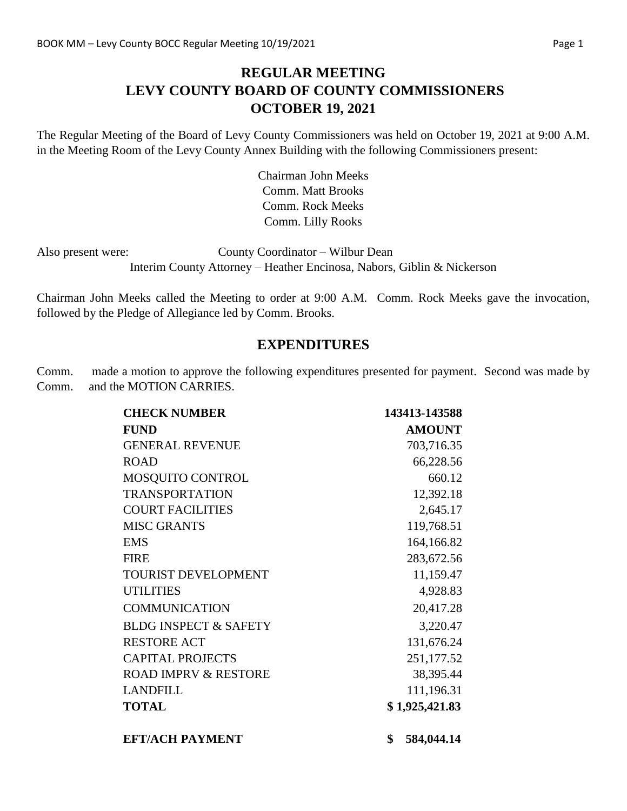# **REGULAR MEETING LEVY COUNTY BOARD OF COUNTY COMMISSIONERS OCTOBER 19, 2021**

The Regular Meeting of the Board of Levy County Commissioners was held on October 19, 2021 at 9:00 A.M. in the Meeting Room of the Levy County Annex Building with the following Commissioners present:

> Chairman John Meeks Comm. Matt Brooks Comm. Rock Meeks Comm. Lilly Rooks

Also present were: County Coordinator – Wilbur Dean Interim County Attorney – Heather Encinosa, Nabors, Giblin & Nickerson

Chairman John Meeks called the Meeting to order at 9:00 A.M. Comm. Rock Meeks gave the invocation, followed by the Pledge of Allegiance led by Comm. Brooks.

#### **EXPENDITURES**

Comm. made a motion to approve the following expenditures presented for payment. Second was made by Comm. and the MOTION CARRIES.

| <b>CHECK NUMBER</b>              | 143413-143588    |
|----------------------------------|------------------|
| <b>FUND</b>                      | <b>AMOUNT</b>    |
| <b>GENERAL REVENUE</b>           | 703,716.35       |
| <b>ROAD</b>                      | 66,228.56        |
| MOSQUITO CONTROL                 | 660.12           |
| <b>TRANSPORTATION</b>            | 12,392.18        |
| <b>COURT FACILITIES</b>          | 2,645.17         |
| <b>MISC GRANTS</b>               | 119,768.51       |
| <b>EMS</b>                       | 164,166.82       |
| <b>FIRE</b>                      | 283,672.56       |
| TOURIST DEVELOPMENT              | 11,159.47        |
| <b>UTILITIES</b>                 | 4,928.83         |
| <b>COMMUNICATION</b>             | 20,417.28        |
| <b>BLDG INSPECT &amp; SAFETY</b> | 3,220.47         |
| <b>RESTORE ACT</b>               | 131,676.24       |
| <b>CAPITAL PROJECTS</b>          | 251,177.52       |
| <b>ROAD IMPRV &amp; RESTORE</b>  | 38,395.44        |
| <b>LANDFILL</b>                  | 111,196.31       |
| <b>TOTAL</b>                     | \$1,925,421.83   |
| <b>EFT/ACH PAYMENT</b>           | \$<br>584,044.14 |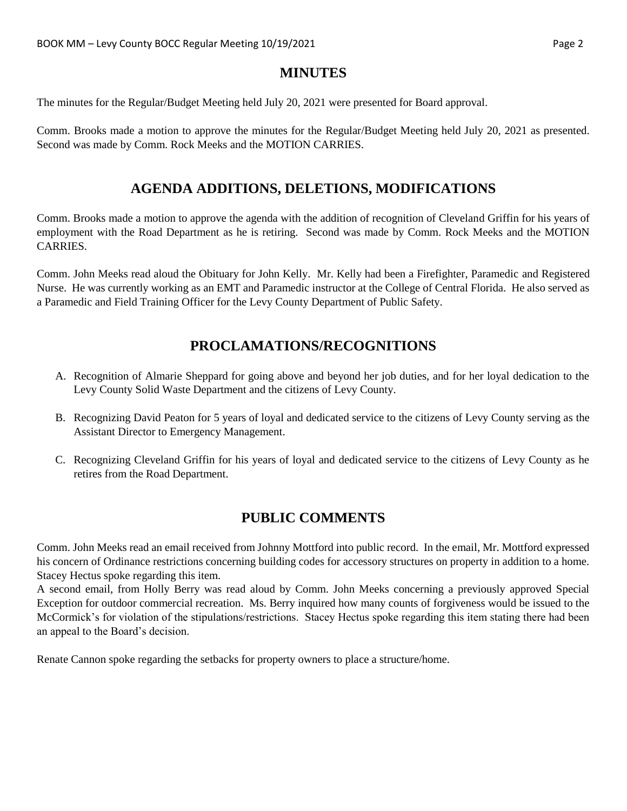## **MINUTES**

The minutes for the Regular/Budget Meeting held July 20, 2021 were presented for Board approval.

Comm. Brooks made a motion to approve the minutes for the Regular/Budget Meeting held July 20, 2021 as presented. Second was made by Comm. Rock Meeks and the MOTION CARRIES.

# **AGENDA ADDITIONS, DELETIONS, MODIFICATIONS**

Comm. Brooks made a motion to approve the agenda with the addition of recognition of Cleveland Griffin for his years of employment with the Road Department as he is retiring. Second was made by Comm. Rock Meeks and the MOTION CARRIES.

Comm. John Meeks read aloud the Obituary for John Kelly. Mr. Kelly had been a Firefighter, Paramedic and Registered Nurse. He was currently working as an EMT and Paramedic instructor at the College of Central Florida. He also served as a Paramedic and Field Training Officer for the Levy County Department of Public Safety.

# **PROCLAMATIONS/RECOGNITIONS**

- A. Recognition of Almarie Sheppard for going above and beyond her job duties, and for her loyal dedication to the Levy County Solid Waste Department and the citizens of Levy County.
- B. Recognizing David Peaton for 5 years of loyal and dedicated service to the citizens of Levy County serving as the Assistant Director to Emergency Management.
- C. Recognizing Cleveland Griffin for his years of loyal and dedicated service to the citizens of Levy County as he retires from the Road Department.

# **PUBLIC COMMENTS**

Comm. John Meeks read an email received from Johnny Mottford into public record. In the email, Mr. Mottford expressed his concern of Ordinance restrictions concerning building codes for accessory structures on property in addition to a home. Stacey Hectus spoke regarding this item.

A second email, from Holly Berry was read aloud by Comm. John Meeks concerning a previously approved Special Exception for outdoor commercial recreation. Ms. Berry inquired how many counts of forgiveness would be issued to the McCormick's for violation of the stipulations/restrictions. Stacey Hectus spoke regarding this item stating there had been an appeal to the Board's decision.

Renate Cannon spoke regarding the setbacks for property owners to place a structure/home.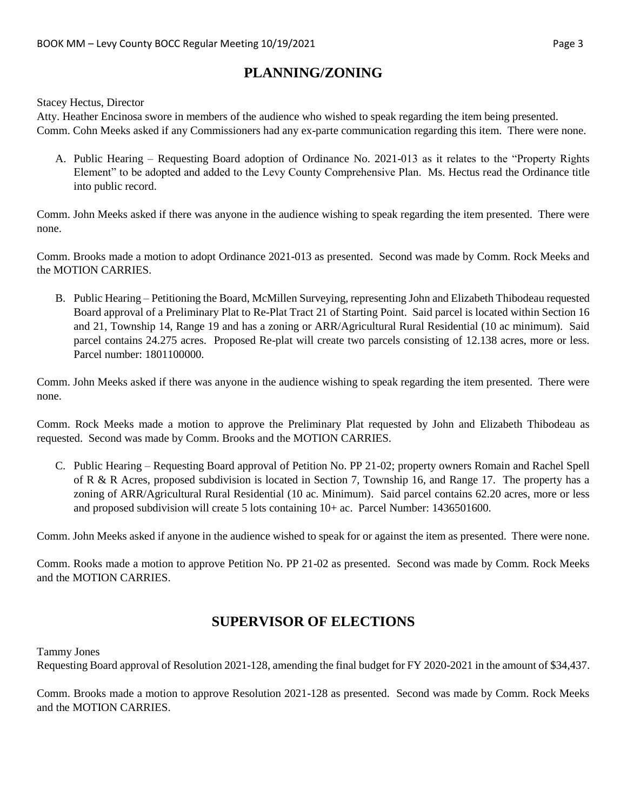# **PLANNING/ZONING**

#### Stacey Hectus, Director

Atty. Heather Encinosa swore in members of the audience who wished to speak regarding the item being presented. Comm. Cohn Meeks asked if any Commissioners had any ex-parte communication regarding this item. There were none.

A. Public Hearing – Requesting Board adoption of Ordinance No. 2021-013 as it relates to the "Property Rights Element" to be adopted and added to the Levy County Comprehensive Plan. Ms. Hectus read the Ordinance title into public record.

Comm. John Meeks asked if there was anyone in the audience wishing to speak regarding the item presented. There were none.

Comm. Brooks made a motion to adopt Ordinance 2021-013 as presented. Second was made by Comm. Rock Meeks and the MOTION CARRIES.

B. Public Hearing – Petitioning the Board, McMillen Surveying, representing John and Elizabeth Thibodeau requested Board approval of a Preliminary Plat to Re-Plat Tract 21 of Starting Point. Said parcel is located within Section 16 and 21, Township 14, Range 19 and has a zoning or ARR/Agricultural Rural Residential (10 ac minimum). Said parcel contains 24.275 acres. Proposed Re-plat will create two parcels consisting of 12.138 acres, more or less. Parcel number: 1801100000.

Comm. John Meeks asked if there was anyone in the audience wishing to speak regarding the item presented. There were none.

Comm. Rock Meeks made a motion to approve the Preliminary Plat requested by John and Elizabeth Thibodeau as requested. Second was made by Comm. Brooks and the MOTION CARRIES.

C. Public Hearing – Requesting Board approval of Petition No. PP 21-02; property owners Romain and Rachel Spell of R & R Acres, proposed subdivision is located in Section 7, Township 16, and Range 17. The property has a zoning of ARR/Agricultural Rural Residential (10 ac. Minimum). Said parcel contains 62.20 acres, more or less and proposed subdivision will create 5 lots containing 10+ ac. Parcel Number: 1436501600.

Comm. John Meeks asked if anyone in the audience wished to speak for or against the item as presented. There were none.

Comm. Rooks made a motion to approve Petition No. PP 21-02 as presented. Second was made by Comm. Rock Meeks and the MOTION CARRIES.

### **SUPERVISOR OF ELECTIONS**

Tammy Jones

Requesting Board approval of Resolution 2021-128, amending the final budget for FY 2020-2021 in the amount of \$34,437.

Comm. Brooks made a motion to approve Resolution 2021-128 as presented. Second was made by Comm. Rock Meeks and the MOTION CARRIES.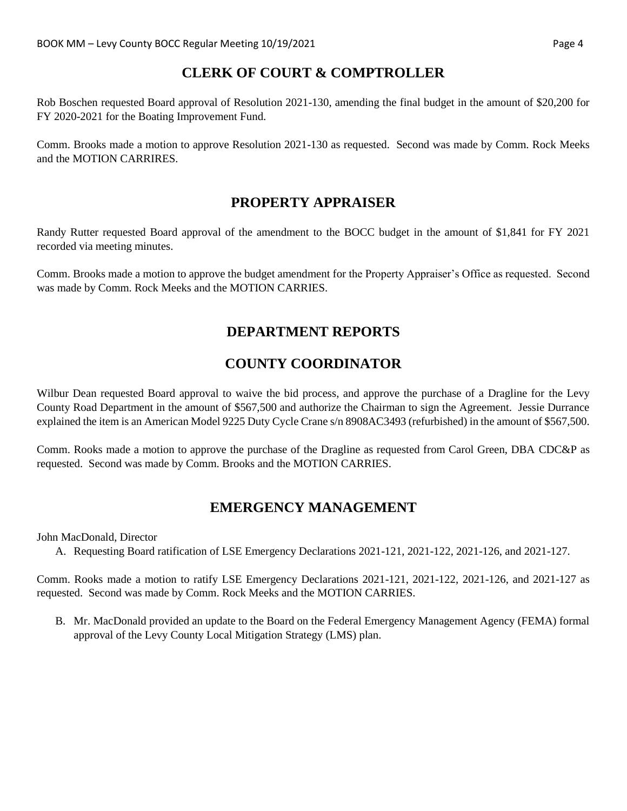### **CLERK OF COURT & COMPTROLLER**

Rob Boschen requested Board approval of Resolution 2021-130, amending the final budget in the amount of \$20,200 for FY 2020-2021 for the Boating Improvement Fund.

Comm. Brooks made a motion to approve Resolution 2021-130 as requested. Second was made by Comm. Rock Meeks and the MOTION CARRIRES.

### **PROPERTY APPRAISER**

Randy Rutter requested Board approval of the amendment to the BOCC budget in the amount of \$1,841 for FY 2021 recorded via meeting minutes.

Comm. Brooks made a motion to approve the budget amendment for the Property Appraiser's Office as requested. Second was made by Comm. Rock Meeks and the MOTION CARRIES.

# **DEPARTMENT REPORTS**

# **COUNTY COORDINATOR**

Wilbur Dean requested Board approval to waive the bid process, and approve the purchase of a Dragline for the Levy County Road Department in the amount of \$567,500 and authorize the Chairman to sign the Agreement. Jessie Durrance explained the item is an American Model 9225 Duty Cycle Crane s/n 8908AC3493 (refurbished) in the amount of \$567,500.

Comm. Rooks made a motion to approve the purchase of the Dragline as requested from Carol Green, DBA CDC&P as requested. Second was made by Comm. Brooks and the MOTION CARRIES.

# **EMERGENCY MANAGEMENT**

John MacDonald, Director

A. Requesting Board ratification of LSE Emergency Declarations 2021-121, 2021-122, 2021-126, and 2021-127.

Comm. Rooks made a motion to ratify LSE Emergency Declarations 2021-121, 2021-122, 2021-126, and 2021-127 as requested. Second was made by Comm. Rock Meeks and the MOTION CARRIES.

B. Mr. MacDonald provided an update to the Board on the Federal Emergency Management Agency (FEMA) formal approval of the Levy County Local Mitigation Strategy (LMS) plan.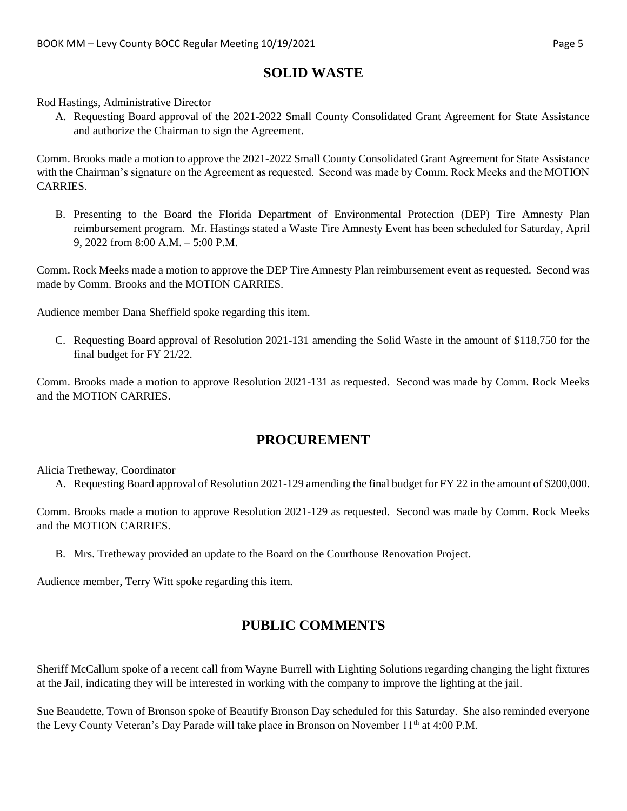#### **SOLID WASTE**

Rod Hastings, Administrative Director

A. Requesting Board approval of the 2021-2022 Small County Consolidated Grant Agreement for State Assistance and authorize the Chairman to sign the Agreement.

Comm. Brooks made a motion to approve the 2021-2022 Small County Consolidated Grant Agreement for State Assistance with the Chairman's signature on the Agreement as requested. Second was made by Comm. Rock Meeks and the MOTION CARRIES.

B. Presenting to the Board the Florida Department of Environmental Protection (DEP) Tire Amnesty Plan reimbursement program. Mr. Hastings stated a Waste Tire Amnesty Event has been scheduled for Saturday, April 9, 2022 from 8:00 A.M. – 5:00 P.M.

Comm. Rock Meeks made a motion to approve the DEP Tire Amnesty Plan reimbursement event as requested. Second was made by Comm. Brooks and the MOTION CARRIES.

Audience member Dana Sheffield spoke regarding this item.

C. Requesting Board approval of Resolution 2021-131 amending the Solid Waste in the amount of \$118,750 for the final budget for FY 21/22.

Comm. Brooks made a motion to approve Resolution 2021-131 as requested. Second was made by Comm. Rock Meeks and the MOTION CARRIES.

#### **PROCUREMENT**

Alicia Tretheway, Coordinator

A. Requesting Board approval of Resolution 2021-129 amending the final budget for FY 22 in the amount of \$200,000.

Comm. Brooks made a motion to approve Resolution 2021-129 as requested. Second was made by Comm. Rock Meeks and the MOTION CARRIES.

B. Mrs. Tretheway provided an update to the Board on the Courthouse Renovation Project.

Audience member, Terry Witt spoke regarding this item.

# **PUBLIC COMMENTS**

Sheriff McCallum spoke of a recent call from Wayne Burrell with Lighting Solutions regarding changing the light fixtures at the Jail, indicating they will be interested in working with the company to improve the lighting at the jail.

Sue Beaudette, Town of Bronson spoke of Beautify Bronson Day scheduled for this Saturday. She also reminded everyone the Levy County Veteran's Day Parade will take place in Bronson on November  $11<sup>th</sup>$  at 4:00 P.M.